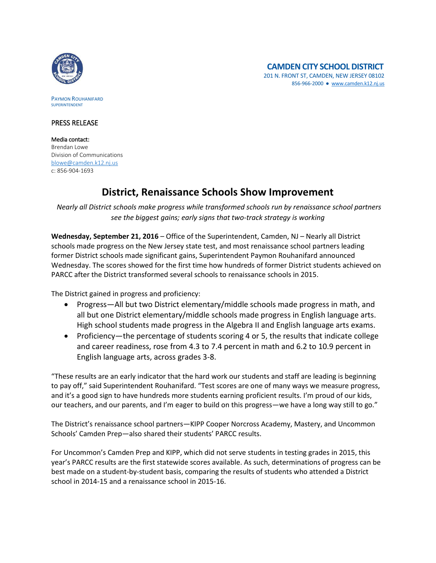

PAYMON ROUHANIFARD SUPERINTENDENT

## PRESS RELEASE

Media contact: Brendan Lowe Division of Communications [blowe@camden.k12.nj.us](mailto:blowe@camden.k12.nj.us) c: 856-904-1693

## **District, Renaissance Schools Show Improvement**

*Nearly all District schools make progress while transformed schools run by renaissance school partners see the biggest gains; early signs that two-track strategy is working*

**Wednesday, September 21, 2016** – Office of the Superintendent, Camden, NJ – Nearly all District schools made progress on the New Jersey state test, and most renaissance school partners leading former District schools made significant gains, Superintendent Paymon Rouhanifard announced Wednesday. The scores showed for the first time how hundreds of former District students achieved on PARCC after the District transformed several schools to renaissance schools in 2015.

The District gained in progress and proficiency:

- Progress—All but two District elementary/middle schools made progress in math, and all but one District elementary/middle schools made progress in English language arts. High school students made progress in the Algebra II and English language arts exams.
- Proficiency—the percentage of students scoring 4 or 5, the results that indicate college and career readiness, rose from 4.3 to 7.4 percent in math and 6.2 to 10.9 percent in English language arts, across grades 3-8.

"These results are an early indicator that the hard work our students and staff are leading is beginning to pay off," said Superintendent Rouhanifard. "Test scores are one of many ways we measure progress, and it's a good sign to have hundreds more students earning proficient results. I'm proud of our kids, our teachers, and our parents, and I'm eager to build on this progress—we have a long way still to go."

The District's renaissance school partners—KIPP Cooper Norcross Academy, Mastery, and Uncommon Schools' Camden Prep—also shared their students' PARCC results.

For Uncommon's Camden Prep and KIPP, which did not serve students in testing grades in 2015, this year's PARCC results are the first statewide scores available. As such, determinations of progress can be best made on a student-by-student basis, comparing the results of students who attended a District school in 2014-15 and a renaissance school in 2015-16.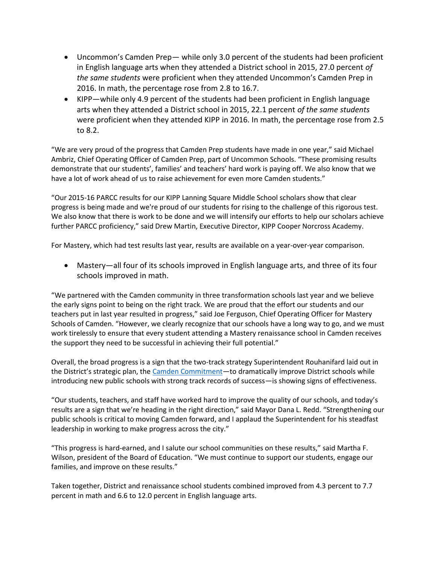- Uncommon's Camden Prep— while only 3.0 percent of the students had been proficient in English language arts when they attended a District school in 2015, 27.0 percent *of the same students* were proficient when they attended Uncommon's Camden Prep in 2016. In math, the percentage rose from 2.8 to 16.7.
- KIPP—while only 4.9 percent of the students had been proficient in English language arts when they attended a District school in 2015, 22.1 percent *of the same students* were proficient when they attended KIPP in 2016. In math, the percentage rose from 2.5 to 8.2.

"We are very proud of the progress that Camden Prep students have made in one year," said Michael Ambriz, Chief Operating Officer of Camden Prep, part of Uncommon Schools. "These promising results demonstrate that our students', families' and teachers' hard work is paying off. We also know that we have a lot of work ahead of us to raise achievement for even more Camden students."

"Our 2015-16 PARCC results for our KIPP Lanning Square Middle School scholars show that clear progress is being made and we're proud of our students for rising to the challenge of this rigorous test. We also know that there is work to be done and we will intensify our efforts to help our scholars achieve further PARCC proficiency," said Drew Martin, Executive Director, KIPP Cooper Norcross Academy.

For Mastery, which had test results last year, results are available on a year-over-year comparison.

 Mastery—all four of its schools improved in English language arts, and three of its four schools improved in math.

"We partnered with the Camden community in three transformation schools last year and we believe the early signs point to being on the right track. We are proud that the effort our students and our teachers put in last year resulted in progress," said Joe Ferguson, Chief Operating Officer for Mastery Schools of Camden. "However, we clearly recognize that our schools have a long way to go, and we must work tirelessly to ensure that every student attending a Mastery renaissance school in Camden receives the support they need to be successful in achieving their full potential."

Overall, the broad progress is a sign that the two-track strategy Superintendent Rouhanifard laid out in the District's strategic plan, the [Camden Commitment](http://www.camden.k12.nj.us/apps/pages/index.jsp?uREC_ID=229399&type=d)-to dramatically improve District schools while introducing new public schools with strong track records of success—is showing signs of effectiveness.

"Our students, teachers, and staff have worked hard to improve the quality of our schools, and today's results are a sign that we're heading in the right direction," said Mayor Dana L. Redd. "Strengthening our public schools is critical to moving Camden forward, and I applaud the Superintendent for his steadfast leadership in working to make progress across the city."

"This progress is hard-earned, and I salute our school communities on these results," said Martha F. Wilson, president of the Board of Education. "We must continue to support our students, engage our families, and improve on these results."

Taken together, District and renaissance school students combined improved from 4.3 percent to 7.7 percent in math and 6.6 to 12.0 percent in English language arts.